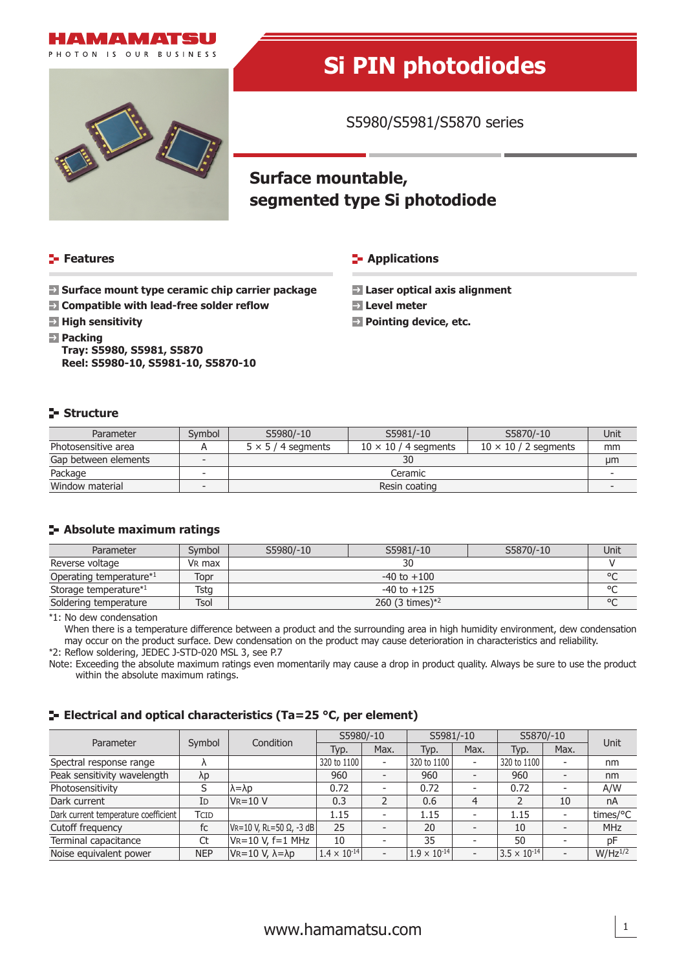



# **Si PIN photodiodes**

S5980/S5981/S5870 series

# **Surface mountable, segmented type Si photodiode**

#### **Features**

#### **Applications**

- **Surface mount type ceramic chip carrier package**
- **Compatible with lead-free solder reflow**
- **E** High sensitivity
- **Packing**

**Tray: S5980, S5981, S5870 Reel: S5980-10, S5981-10, S5870-10**

- **Laser optical axis alignment**
- **Level meter**
- **Pointing device, etc.**

#### **Structure**

| Parameter            | Symbol | S5980/-10<br>S5981/-10    |                             | S5870/-10 | Unit |
|----------------------|--------|---------------------------|-----------------------------|-----------|------|
| Photosensitive area  |        | $5 \times 5 / 4$ segments | $10 \times 10 / 2$ segments | mm        |      |
| Gap between elements |        | 30                        |                             |           |      |
| Package              |        | Ceramic                   |                             |           |      |
| Window material      |        | Resin coating             |                             |           |      |

#### **Absolute maximum ratings**

| Parameter                           | Symbol             | S5980/-10<br>S5981/-10<br>S5870/-10 |  |  | Unit   |  |
|-------------------------------------|--------------------|-------------------------------------|--|--|--------|--|
| Reverse voltage                     | V <sub>R</sub> max |                                     |  |  |        |  |
| Operating temperature <sup>*1</sup> | Topr               | $-40$ to $+100$                     |  |  |        |  |
| Storage temperature*1               | Tstg               | $-40$ to $+125$                     |  |  |        |  |
| Soldering temperature               | Tsol               | 260 (3 times) $*^2$                 |  |  | $\sim$ |  |

\*1: No dew condensation

When there is a temperature difference between a product and the surrounding area in high humidity environment, dew condensation may occur on the product surface. Dew condensation on the product may cause deterioration in characteristics and reliability.

\*2: Reflow soldering, JEDEC J-STD-020 MSL 3, see P.7

Note: Exceeding the absolute maximum ratings even momentarily may cause a drop in product quality. Always be sure to use the product within the absolute maximum ratings.

#### **ELECTRIE 2018 Electrical and optical characteristics (Ta=25 °C, per element)**

| Parameter                            | Symbol     | Condition                       | S5980/-10             |                          | S5981/-10             |                          | S5870/-10             |                          | Unit         |
|--------------------------------------|------------|---------------------------------|-----------------------|--------------------------|-----------------------|--------------------------|-----------------------|--------------------------|--------------|
|                                      |            |                                 | Typ.                  | Max.                     | Typ.                  | Max.                     | Typ.                  | Max.                     |              |
| Spectral response range              |            |                                 | 320 to 1100           | $\overline{\phantom{a}}$ | 320 to 1100           | $\overline{\phantom{a}}$ | 320 to 1100           |                          | nm           |
| Peak sensitivity wavelength          | λp         |                                 | 960                   | $\overline{\phantom{0}}$ | 960                   |                          | 960                   |                          | nm           |
| Photosensitivity                     |            | $\lambda = \lambda p$           | 0.72                  | $\overline{a}$           | 0.72                  |                          | 0.72                  |                          | A/W          |
| Dark current                         | Id         | $V = 10 V$                      | 0.3                   |                          | 0.6                   | $\overline{4}$           | C,                    | 10                       | nA           |
| Dark current temperature coefficient | TCID       |                                 | 1.15                  | $\overline{\phantom{a}}$ | 1.15                  |                          | 1.15                  |                          | times/°C     |
| Cutoff frequency                     | fc         | $ V_R=10 V, R = 50 Ω, -3 dB $   | 25                    |                          | 20                    |                          | 10                    |                          | <b>MHz</b>   |
| Terminal capacitance                 | Ct         | $V_R = 10 V, f = 1 MHz$         | 10                    |                          | 35                    |                          | 50                    |                          | pF           |
| Noise equivalent power               | <b>NEP</b> | $V = 10 V, \lambda = \lambda p$ | $1.4 \times 10^{-14}$ | $\overline{\phantom{a}}$ | $1.9 \times 10^{-14}$ | $\overline{\phantom{a}}$ | $3.5 \times 10^{-14}$ | $\overline{\phantom{a}}$ | $W/Hz^{1/2}$ |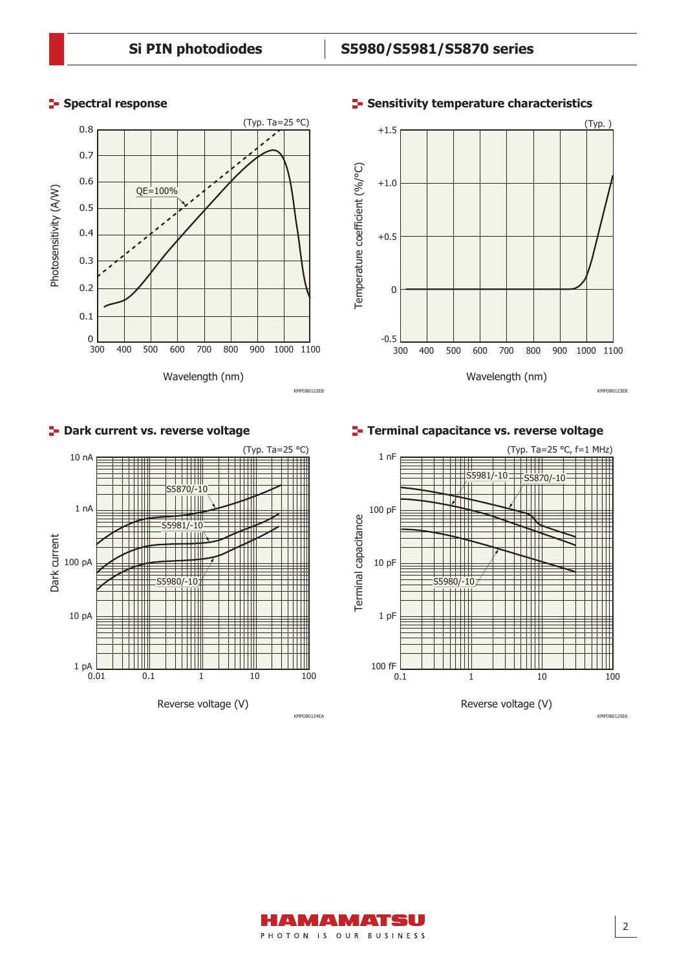#### **Spectral response**



Wavelength (nm) Temperature coefficient (%/°C) 0 300 400 500 600 700 800 900 1000 1100  $+1.0$ +0.5  $+1.5$ -0.5 (Typ. ) Terminal capacitance vs. reverse voltage

2



**P**- Dark current vs. reverse voltage

**Terminal capacitance vs. reverse voltage**



#### **F** Sensitivity temperature characteristics

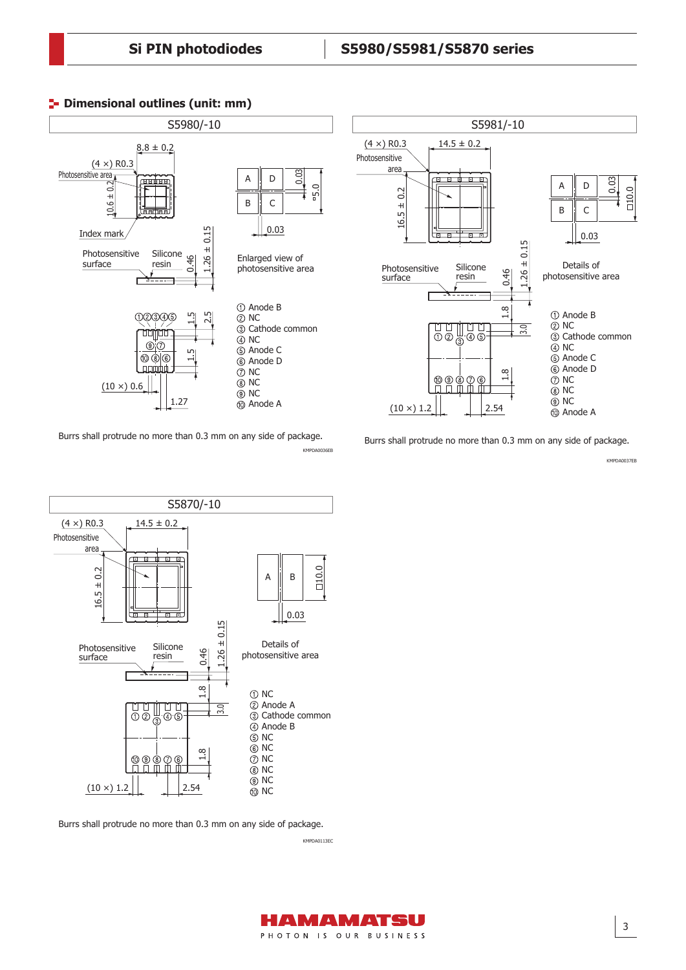

#### **P** Dimensional outlines (unit: mm)

Burrs shall protrude no more than 0.3 mm on any side of package. KMPDA0036EB

S5870/-10  $(4 \times)$  R0.3  $14.5 \pm 0.2$ Photosensitive area 00 10.0  $0.2$ 16.5 ± 0.2  $A \parallel B$  $\overline{+}$ 16.5 0.03 늚 0.15 1.26 ± 0.15  $\overline{+}$ Details of Silicone Photosensitive 0.46 1.26 photosensitive area resin surface 1.8 NC Anode A ă. Ŭ UU. 3.0 **Cathode common**  $\bigcap$  $-$  4  $-$  6 Anode B  $\overline{\circ}$  NC NC  $\frac{8}{11}$ NC  $@Q@$  $^{\circledR}$  $\frac{1}{\pi}$ NC NC  $(10 \times) 1.2$ 2.54 (10) NC

Burrs shall protrude no more than 0.3 mm on any side of package.

KMPDA0113EC



KMPDA0037EB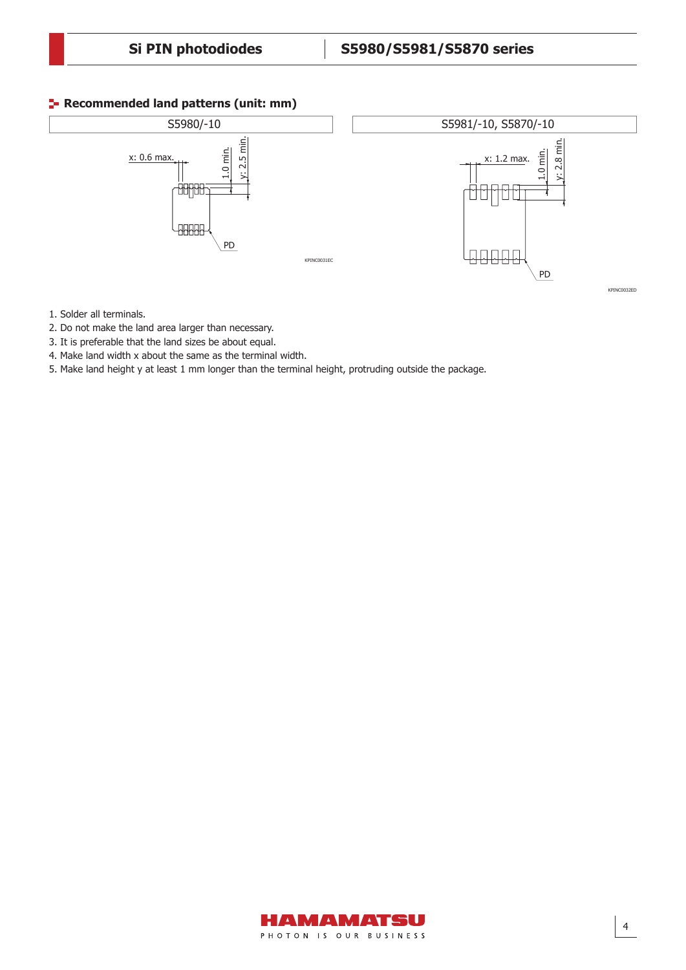#### **Recommended land patterns (unit: mm)**



- 1. Solder all terminals.
- 5. Make land height y at least 1 mm longer than the terminal height, 2. Do not make the land area larger than necessary.
- 3. It is preferable that the land sizes be about equal.
- 4. Make land width x about the same as the terminal width.
- protruding outside the package. 5. Make land height y at least 1 mm longer than the terminal height, protruding outside the package.

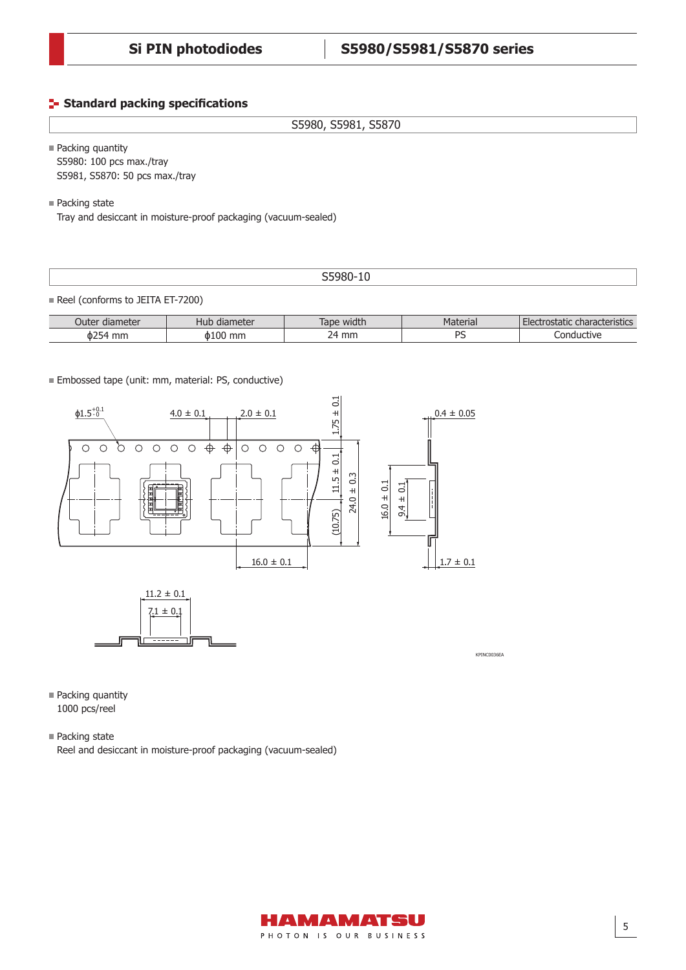#### **Standard packing specifications**

S5980, S5981, S5870

■ Packing quantity S5980: 100 pcs max./tray S5981, S5870: 50 pcs max./tray

■ Packing state

Tray and desiccant in moisture-proof packaging (vacuum-sealed)

#### S5980-10

Reel (conforms to JEITA ET-7200)

| Outer diameter | Hub diameter | width<br>Tape | Material | : characteristics i<br>Electrostatic |
|----------------|--------------|---------------|----------|--------------------------------------|
| ዕ254<br>mm     | ዕ100<br>mm   | mm<br>14.     | DC       | Conductive                           |

Embossed tape (unit: mm, material: PS, conductive)



■ Packing quantity 1000 pcs/reel

■ Packing state

Reel and desiccant in moisture-proof packaging (vacuum-sealed)

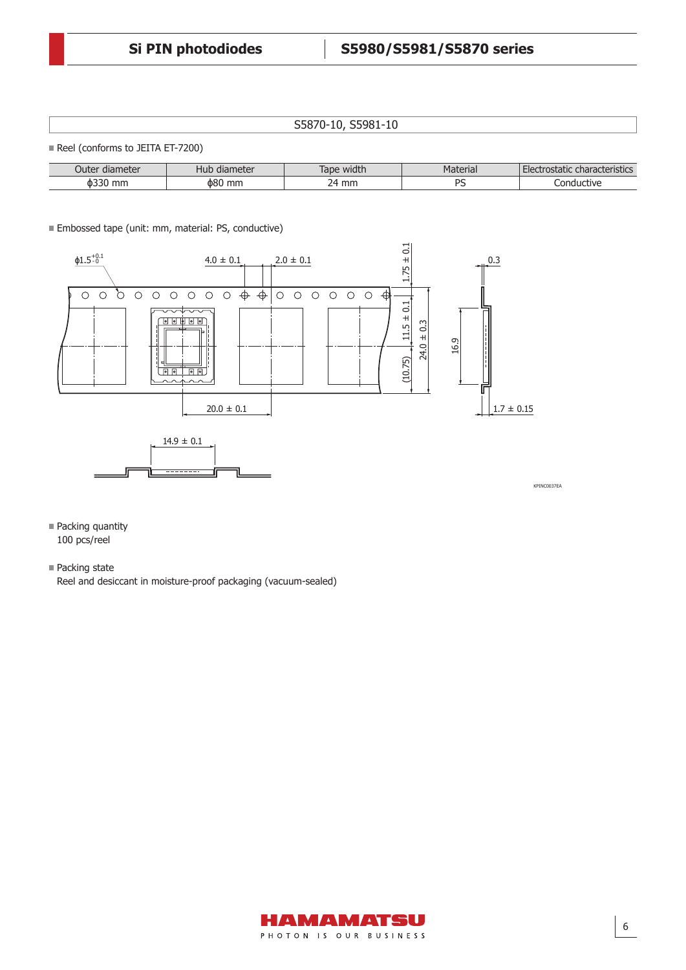S5870-10, S5981-10

Reel (conforms to JEITA ET-7200)

| diameter<br>Juter | , diameter<br>Hub | Tape width | Material | characteristics<br>гест<br>ustatic |
|-------------------|-------------------|------------|----------|------------------------------------|
| mm                | ዕ80               | mm         |          | ıductive                           |
| <b>0336</b>       | mm                | ∽          |          | Lond                               |

Embossed tape (unit: mm, material: PS, conductive)



**Packing quantity** 100 pcs/reel

■ Packing state

Reel and desiccant in moisture-proof packaging (vacuum-sealed)

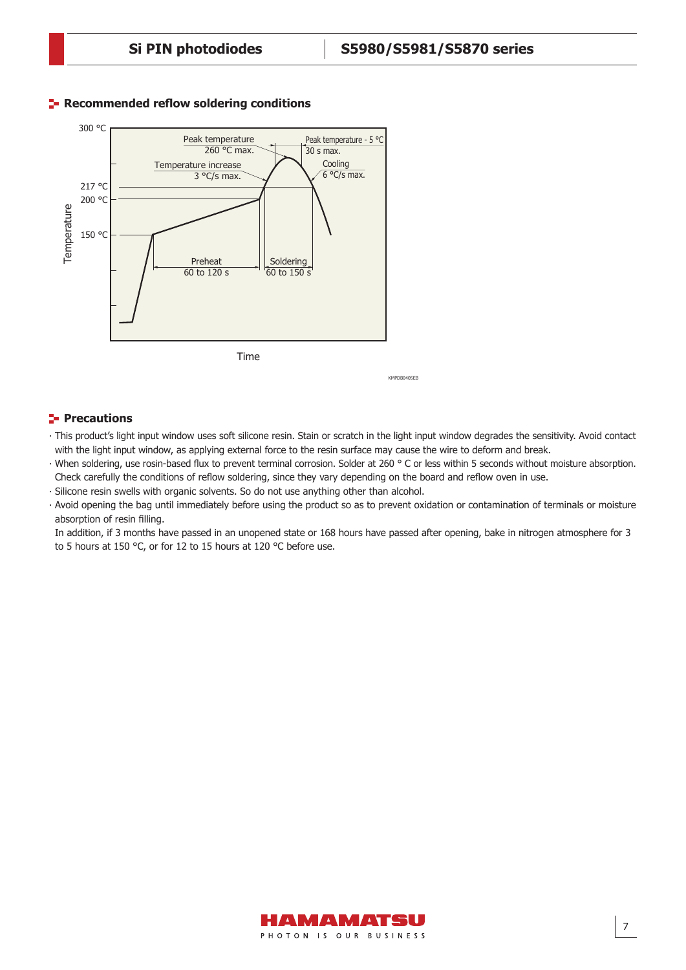

#### **Recommended reflow soldering conditions**

## **Precautions**

‧ This product's light input window uses soft silicone resin. Stain or scratch in the light input window degrades the sensitivity. Avoid contact with the light input window, as applying external force to the resin surface may cause the wire to deform and break.

KMPDB0405EB

- ‧ When soldering, use rosin-based flux to prevent terminal corrosion. Solder at 260 ° C or less within 5 seconds without moisture absorption. Check carefully the conditions of reflow soldering, since they vary depending on the board and reflow oven in use.
- ‧ Silicone resin swells with organic solvents. So do not use anything other than alcohol.
- ‧ Avoid opening the bag until immediately before using the product so as to prevent oxidation or contamination of terminals or moisture absorption of resin filling.

In addition, if 3 months have passed in an unopened state or 168 hours have passed after opening, bake in nitrogen atmosphere for 3 to 5 hours at 150 °C, or for 12 to 15 hours at 120 °C before use.